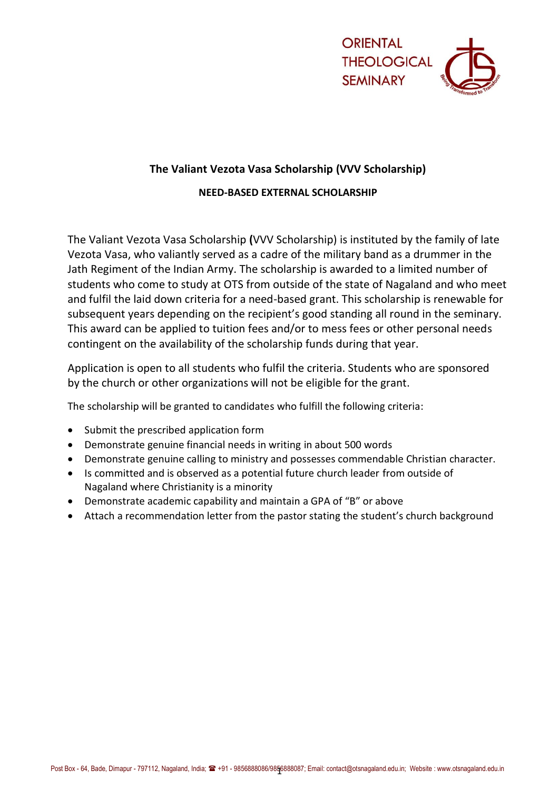

# **The Valiant Vezota Vasa Scholarship (VVV Scholarship)**

## **NEED-BASED EXTERNAL SCHOLARSHIP**

The Valiant Vezota Vasa Scholarship **(**VVV Scholarship) is instituted by the family of late Vezota Vasa, who valiantly served as a cadre of the military band as a drummer in the Jath Regiment of the Indian Army. The scholarship is awarded to a limited number of students who come to study at OTS from outside of the state of Nagaland and who meet and fulfil the laid down criteria for a need-based grant. This scholarship is renewable for subsequent years depending on the recipient's good standing all round in the seminary. This award can be applied to tuition fees and/or to mess fees or other personal needs contingent on the availability of the scholarship funds during that year.

Application is open to all students who fulfil the criteria. Students who are sponsored by the church or other organizations will not be eligible for the grant.

The scholarship will be granted to candidates who fulfill the following criteria:

- Submit the prescribed application form
- Demonstrate genuine financial needs in writing in about 500 words
- Demonstrate genuine calling to ministry and possesses commendable Christian character.
- Is committed and is observed as a potential future church leader from outside of Nagaland where Christianity is a minority
- Demonstrate academic capability and maintain a GPA of "B" or above
- Attach a recommendation letter from the pastor stating the student's church background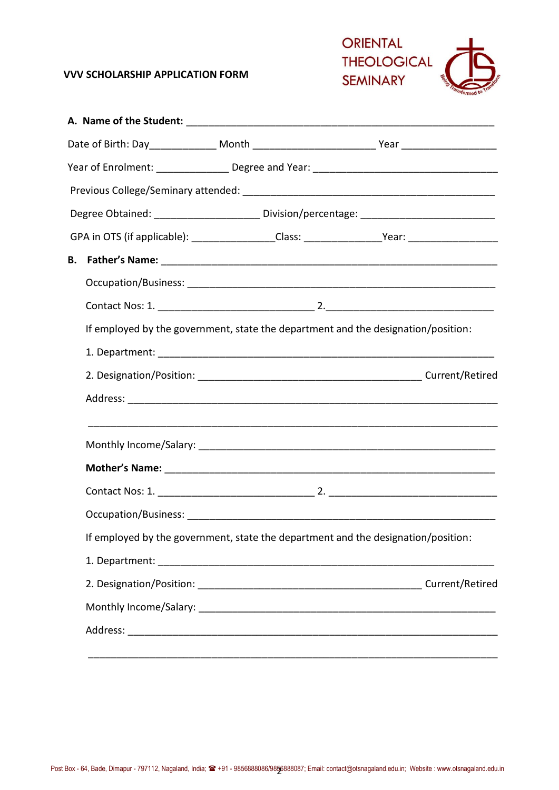### **VVV SCHOLARSHIP APPLICATION FORM**



|  | GPA in OTS (if applicable): __________________Class: ___________________Year: ______________________ |  |  |  |  |  |
|--|------------------------------------------------------------------------------------------------------|--|--|--|--|--|
|  |                                                                                                      |  |  |  |  |  |
|  |                                                                                                      |  |  |  |  |  |
|  |                                                                                                      |  |  |  |  |  |
|  | If employed by the government, state the department and the designation/position:                    |  |  |  |  |  |
|  |                                                                                                      |  |  |  |  |  |
|  |                                                                                                      |  |  |  |  |  |
|  |                                                                                                      |  |  |  |  |  |
|  |                                                                                                      |  |  |  |  |  |
|  |                                                                                                      |  |  |  |  |  |
|  |                                                                                                      |  |  |  |  |  |
|  |                                                                                                      |  |  |  |  |  |
|  | If employed by the government, state the department and the designation/position:                    |  |  |  |  |  |
|  |                                                                                                      |  |  |  |  |  |
|  |                                                                                                      |  |  |  |  |  |
|  |                                                                                                      |  |  |  |  |  |
|  |                                                                                                      |  |  |  |  |  |
|  |                                                                                                      |  |  |  |  |  |